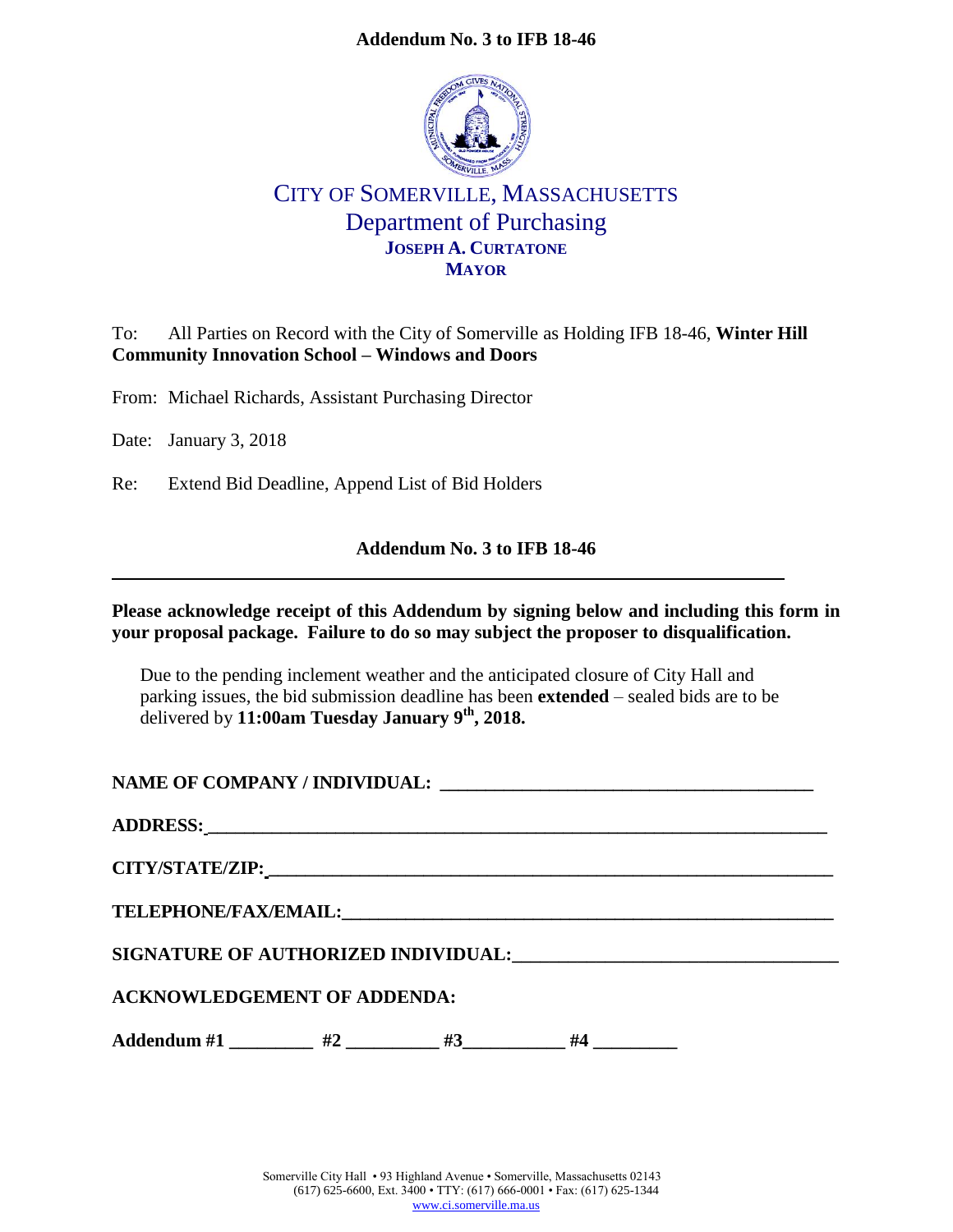## **Addendum No. 3 to IFB 18-46**



## CITY OF SOMERVILLE, MASSACHUSETTS Department of Purchasing **JOSEPH A. CURTATONE MAYOR**

To: All Parties on Record with the City of Somerville as Holding IFB 18-46, **Winter Hill Community Innovation School – Windows and Doors**

From: Michael Richards, Assistant Purchasing Director

Date: January 3, 2018

Re: Extend Bid Deadline, Append List of Bid Holders

## **Addendum No. 3 to IFB 18-46**

**Please acknowledge receipt of this Addendum by signing below and including this form in your proposal package. Failure to do so may subject the proposer to disqualification.**

Due to the pending inclement weather and the anticipated closure of City Hall and parking issues, the bid submission deadline has been **extended** – sealed bids are to be delivered by **11:00am Tuesday January 9th, 2018.**

**NAME OF COMPANY / INDIVIDUAL:** 

| <b>ACKNOWLEDGEMENT OF ADDENDA:</b> |
|------------------------------------|

Addendum #1 \_\_\_\_\_\_\_\_\_ #2 \_\_\_\_\_\_\_\_ #3\_\_\_\_\_\_\_\_\_ #4 \_\_\_\_\_\_\_\_